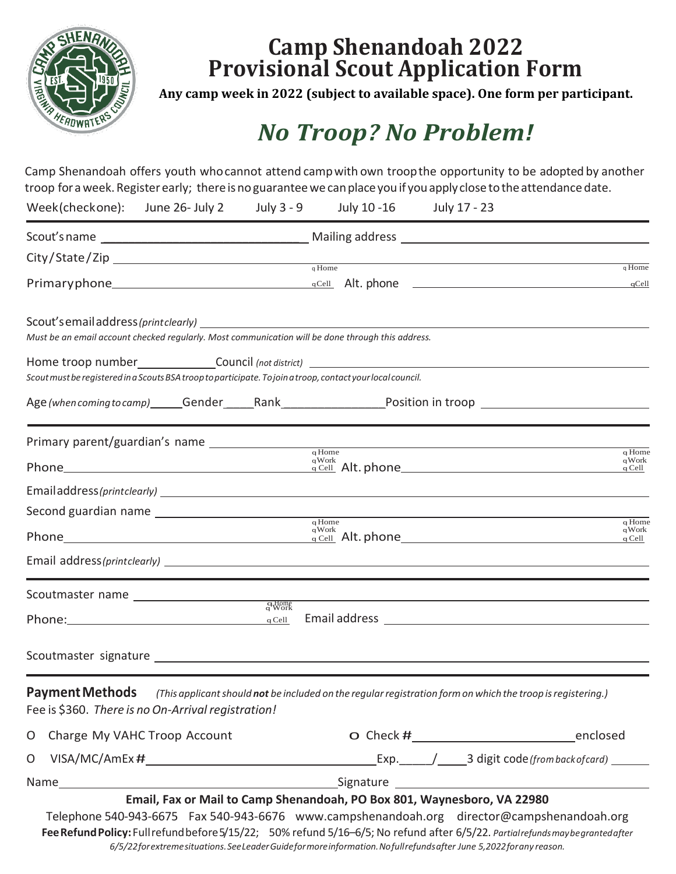

# **Camp Shenandoah 2022 Provisional Scout Application Form**

**Any camp week in 2022 (subject to available space). One form per participant.**

# *No Troop? No Problem!*

Camp Shenandoah offers youth whocannot attend campwith own troopthe opportunity to be adopted by another troop for a week. Register early; there is no guarantee we can place you if you apply close to the attendance date.

|                                                    | Week(checkone): June 26- July 2 | July 3 - 9        | July 10 -16                                                                                                                                                                                      | July 17 - 23 |                   |
|----------------------------------------------------|---------------------------------|-------------------|--------------------------------------------------------------------------------------------------------------------------------------------------------------------------------------------------|--------------|-------------------|
|                                                    |                                 |                   |                                                                                                                                                                                                  |              |                   |
|                                                    |                                 |                   |                                                                                                                                                                                                  |              |                   |
|                                                    |                                 |                   | qHome                                                                                                                                                                                            |              | q Home            |
|                                                    |                                 |                   | Must be an email account checked regularly. Most communication will be done through this address.                                                                                                |              |                   |
|                                                    |                                 |                   | Home troop number___________________Council (not district) ______________________<br>Scout must be registered in a Scouts BSA troop to participate. To join a troop, contact your local council. |              |                   |
|                                                    |                                 |                   | Age (when coming to camp) ______Gender ______Rank ______________________Position in troop ___________________                                                                                    |              |                   |
|                                                    |                                 |                   | qHome                                                                                                                                                                                            |              | q Home            |
|                                                    |                                 |                   | qWork                                                                                                                                                                                            |              | qWork<br>$q$ Cell |
|                                                    |                                 |                   |                                                                                                                                                                                                  |              |                   |
|                                                    |                                 |                   | $q$ Home                                                                                                                                                                                         |              | q Home            |
|                                                    |                                 |                   | qWork                                                                                                                                                                                            |              | qWork<br>$q$ Cell |
|                                                    |                                 |                   |                                                                                                                                                                                                  |              |                   |
|                                                    |                                 |                   |                                                                                                                                                                                                  |              |                   |
| Phone: $q$ Cell                                    |                                 | $q_{\text{Work}}$ |                                                                                                                                                                                                  |              |                   |
|                                                    |                                 |                   |                                                                                                                                                                                                  |              |                   |
| Fee is \$360. There is no On-Arrival registration! |                                 |                   | <b>Payment Methods</b> (This applicant should not be included on the regular registration form on which the troop is registering.)                                                               |              |                   |
| O Charge My VAHC Troop Account                     |                                 |                   |                                                                                                                                                                                                  |              |                   |
| O                                                  |                                 |                   |                                                                                                                                                                                                  |              |                   |
|                                                    |                                 |                   |                                                                                                                                                                                                  |              |                   |

Telephone 540-943-6675 Fax 540-943-6676 www.campshenandoah.org director@campshenandoah.org **FeeRefundPolicy:**Fullrefundbefore5/15/22; 50% refund 5/16–6/5; No refund after 6/5/22. *Partialrefundsmaybegrantedafter 6/5/22forextremesituations.SeeLeaderGuideformoreinformation.Nofullrefundsafter June 5,2022forany reason.*